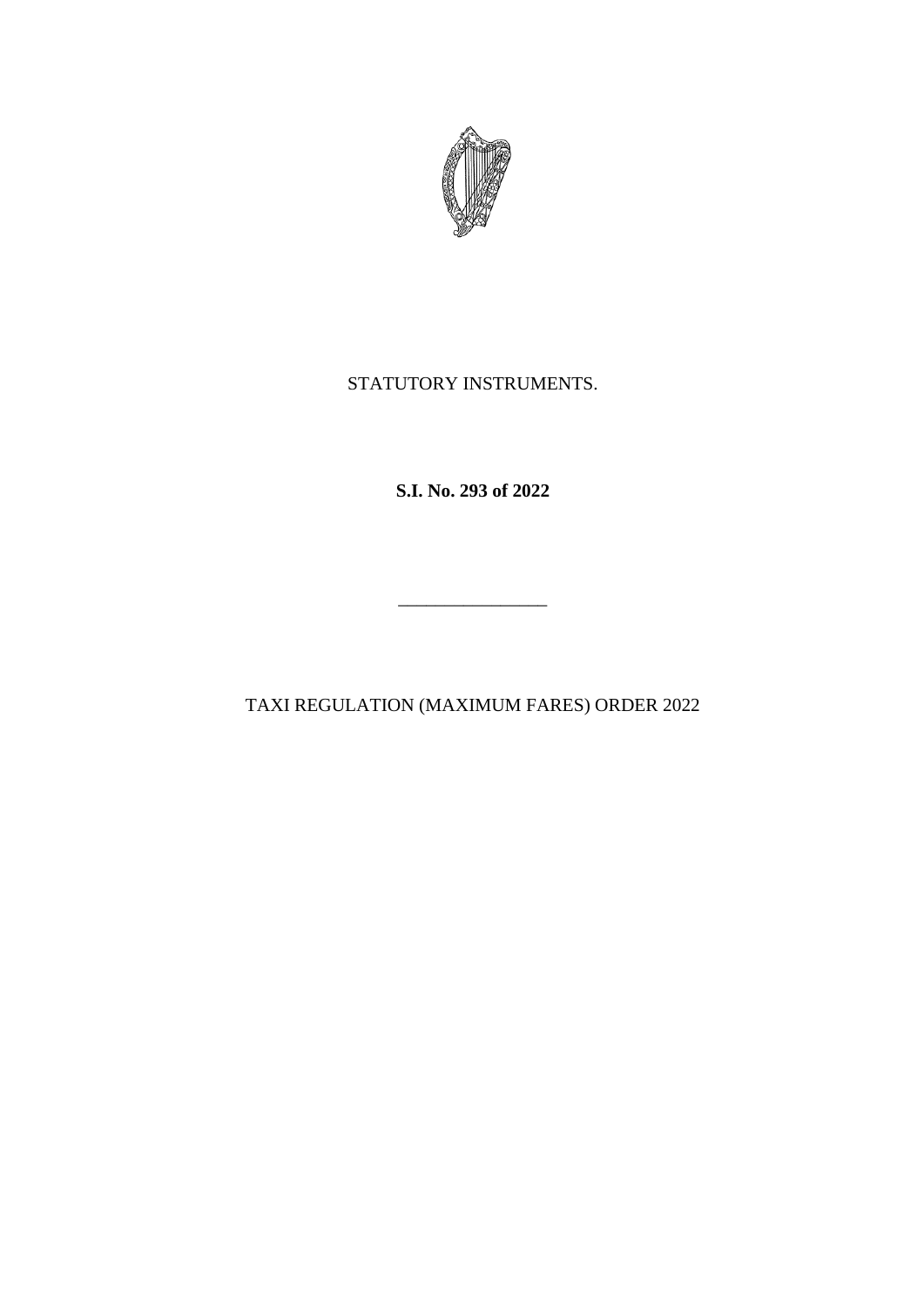

## STATUTORY INSTRUMENTS.

**S.I. No. 293 of 2022**

TAXI REGULATION (MAXIMUM FARES) ORDER 2022

\_\_\_\_\_\_\_\_\_\_\_\_\_\_\_\_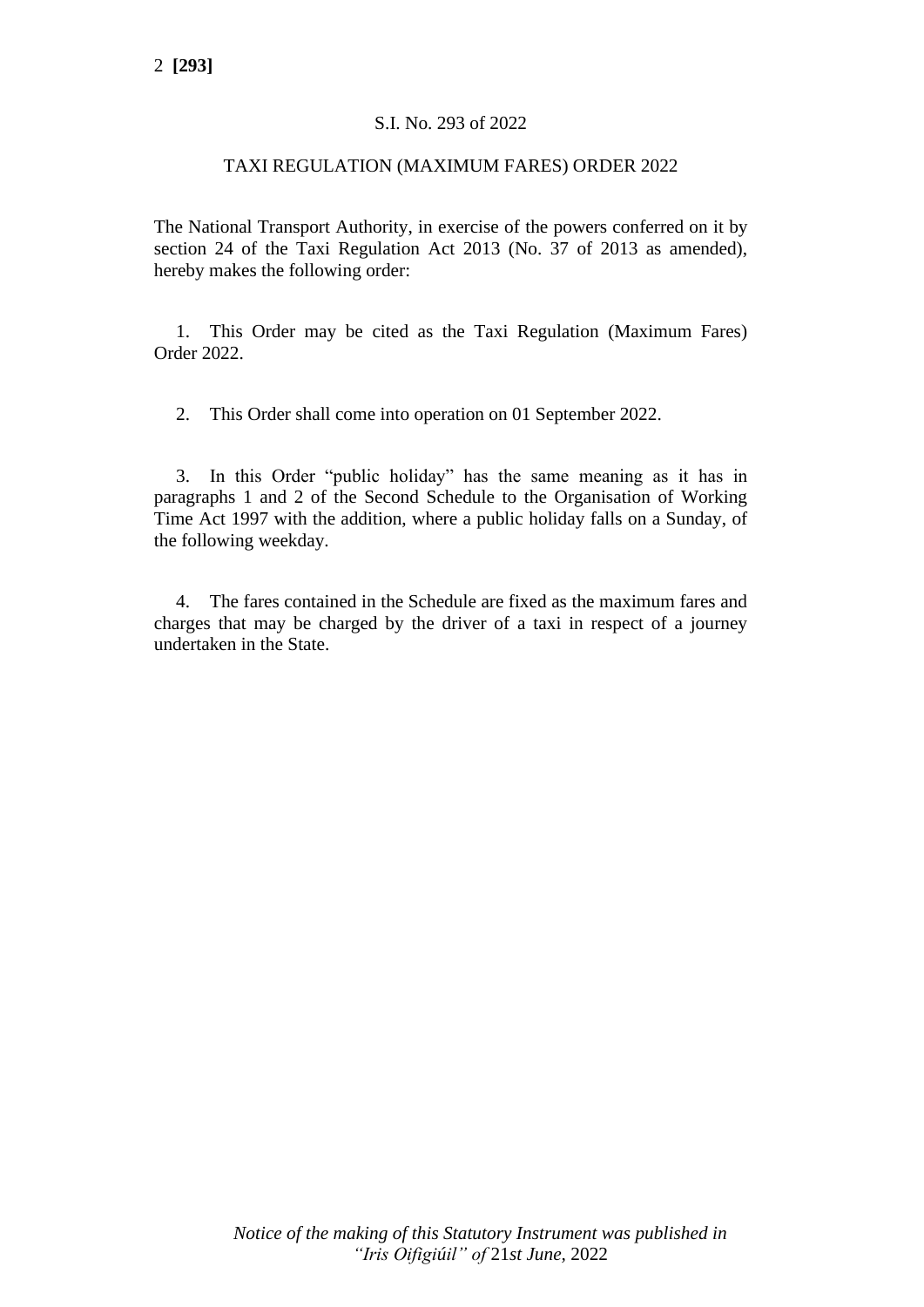#### S.I. No. 293 of 2022

#### TAXI REGULATION (MAXIMUM FARES) ORDER 2022

The National Transport Authority, in exercise of the powers conferred on it by section 24 of the Taxi Regulation Act 2013 (No. 37 of 2013 as amended), hereby makes the following order:

1. This Order may be cited as the Taxi Regulation (Maximum Fares) Order 2022.

2. This Order shall come into operation on 01 September 2022.

3. In this Order "public holiday" has the same meaning as it has in paragraphs 1 and 2 of the Second Schedule to the Organisation of Working Time Act 1997 with the addition, where a public holiday falls on a Sunday, of the following weekday.

4. The fares contained in the Schedule are fixed as the maximum fares and charges that may be charged by the driver of a taxi in respect of a journey undertaken in the State.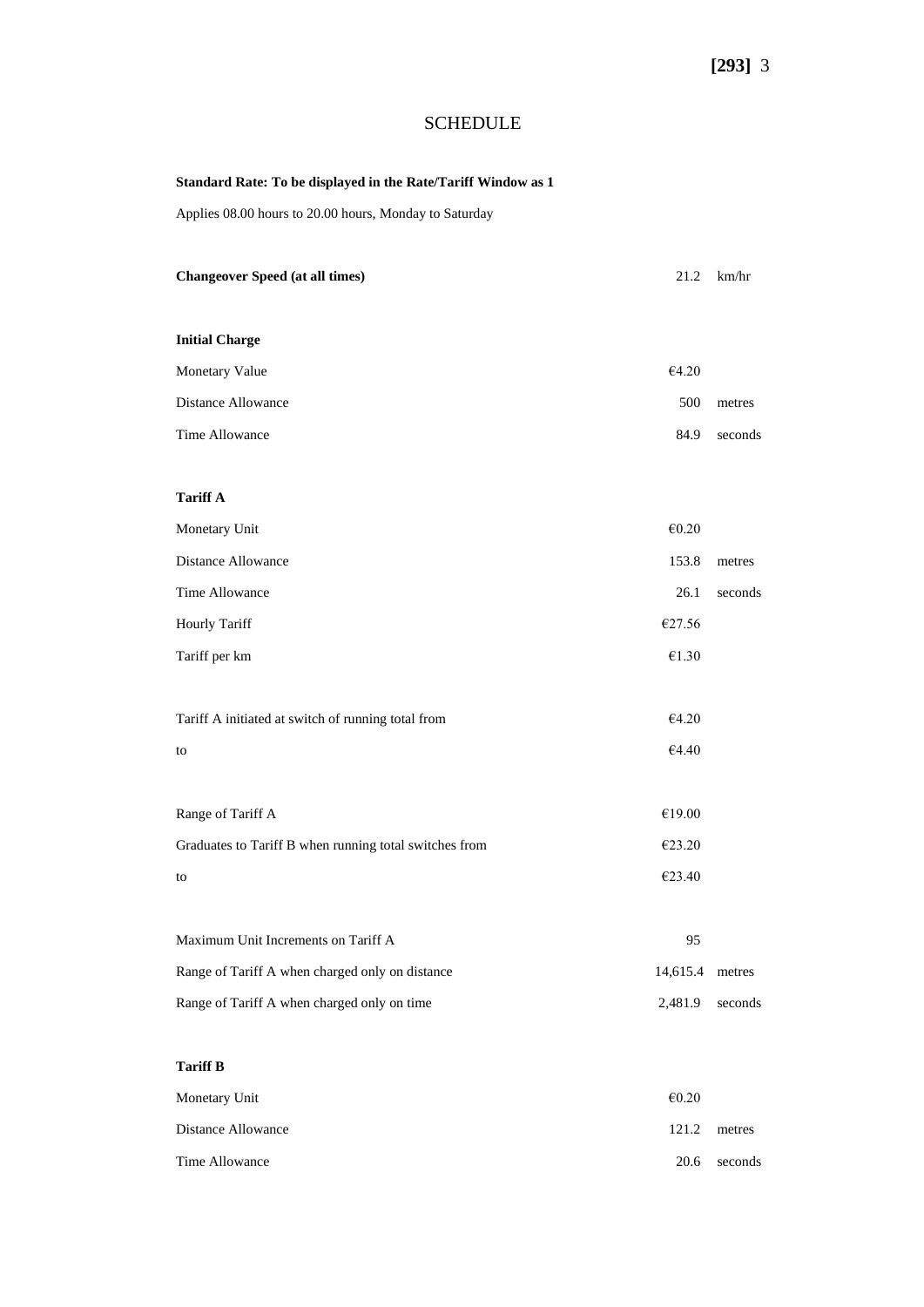## SCHEDULE

## **Standard Rate: To be displayed in the Rate/Tariff Window as 1**

Applies 08.00 hours to 20.00 hours, Monday to Saturday

| <b>Changeover Speed (at all times)</b>                 | 21.2                   | km/hr   |
|--------------------------------------------------------|------------------------|---------|
|                                                        |                        |         |
| <b>Initial Charge</b>                                  |                        |         |
| Monetary Value                                         | €4.20                  |         |
| <b>Distance Allowance</b>                              | 500                    | metres  |
| Time Allowance                                         | 84.9                   | seconds |
|                                                        |                        |         |
| <b>Tariff A</b>                                        |                        |         |
| Monetary Unit                                          | $\mathnormal{\in}0.20$ |         |
| <b>Distance Allowance</b>                              | 153.8                  | metres  |
| Time Allowance                                         | 26.1                   | seconds |
| Hourly Tariff                                          | €27.56                 |         |
| Tariff per km                                          | $\mathnormal{\in}1.30$ |         |
|                                                        |                        |         |
| Tariff A initiated at switch of running total from     | €4.20                  |         |
| to                                                     | $\mathsf{E}4.40$       |         |
|                                                        |                        |         |
| Range of Tariff A                                      | $\mathcal{E}19.00$     |         |
| Graduates to Tariff B when running total switches from | €23.20                 |         |
| to                                                     | €23.40                 |         |
|                                                        |                        |         |
| Maximum Unit Increments on Tariff A                    | 95                     |         |
| Range of Tariff A when charged only on distance        | 14,615.4               | metres  |
| Range of Tariff A when charged only on time            | 2,481.9                | seconds |
|                                                        |                        |         |
| <b>Tariff B</b>                                        |                        |         |
| Monetary Unit                                          | $\mathnormal{\in}0.20$ |         |
| Distance Allowance                                     | 121.2                  | metres  |
| Time Allowance                                         | $20.6\,$               | seconds |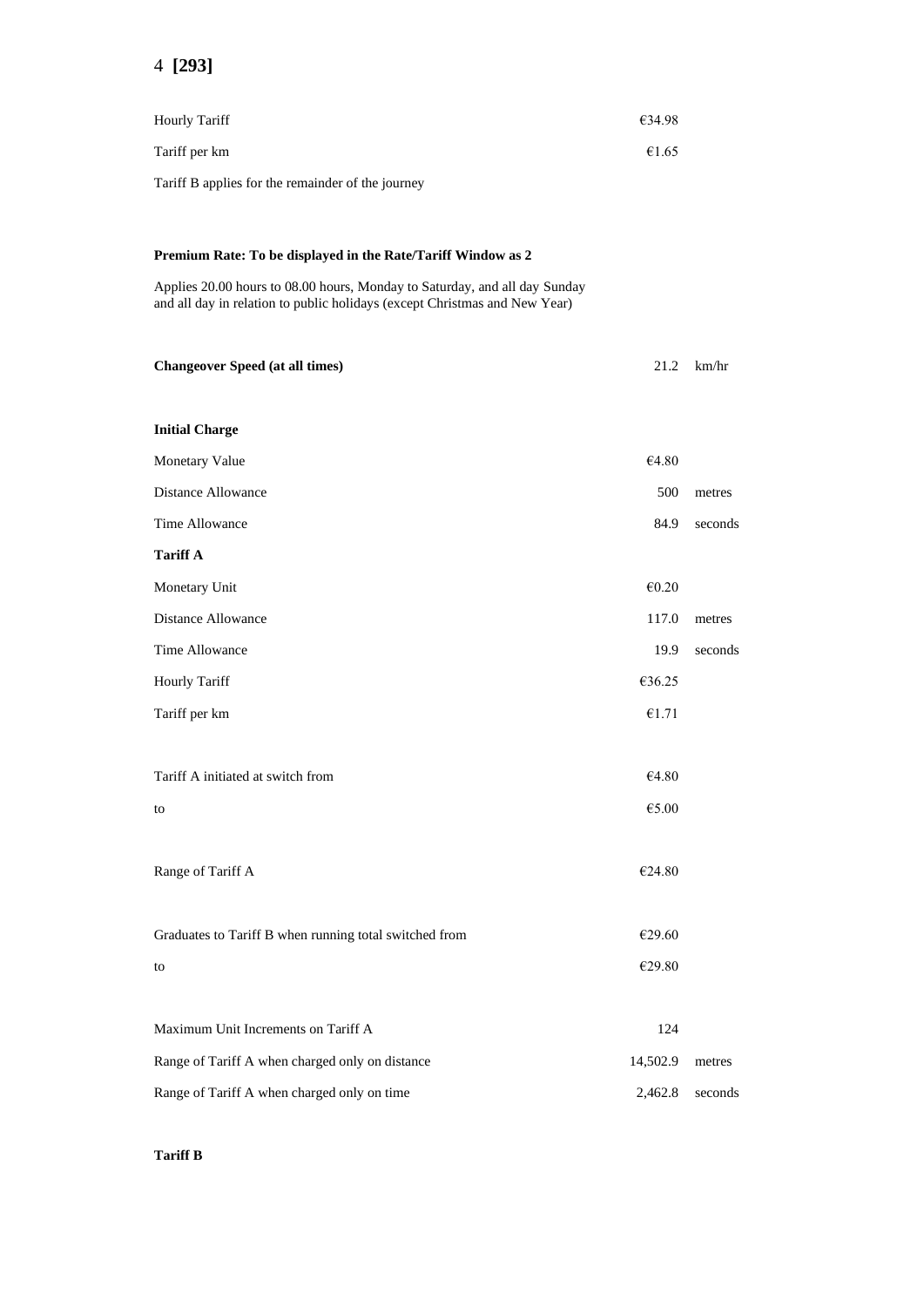| <b>Hourly Tariff</b>                                                                                                                                     | €34.98             |         |
|----------------------------------------------------------------------------------------------------------------------------------------------------------|--------------------|---------|
| Tariff per km                                                                                                                                            | €1.65              |         |
| Tariff B applies for the remainder of the journey                                                                                                        |                    |         |
|                                                                                                                                                          |                    |         |
| Premium Rate: To be displayed in the Rate/Tariff Window as 2                                                                                             |                    |         |
| Applies 20.00 hours to 08.00 hours, Monday to Saturday, and all day Sunday<br>and all day in relation to public holidays (except Christmas and New Year) |                    |         |
| <b>Changeover Speed (at all times)</b>                                                                                                                   | 21.2               | km/hr   |
| <b>Initial Charge</b>                                                                                                                                    |                    |         |
| <b>Monetary Value</b>                                                                                                                                    | €4.80              |         |
| Distance Allowance                                                                                                                                       | 500                | metres  |
| Time Allowance                                                                                                                                           | 84.9               | seconds |
| <b>Tariff A</b>                                                                                                                                          |                    |         |
| Monetary Unit                                                                                                                                            | €0.20              |         |
| <b>Distance Allowance</b>                                                                                                                                | 117.0              | metres  |
| Time Allowance                                                                                                                                           | 19.9               | seconds |
| <b>Hourly Tariff</b>                                                                                                                                     | €36.25             |         |
| Tariff per km                                                                                                                                            | €1.71              |         |
| Tariff A initiated at switch from                                                                                                                        | €4.80              |         |
| to                                                                                                                                                       | $\mathsf{E}5.00$   |         |
| Range of Tariff A                                                                                                                                        | $\mathcal{E}24.80$ |         |
| Graduates to Tariff B when running total switched from                                                                                                   | €29.60             |         |
| to                                                                                                                                                       | €29.80             |         |
| Maximum Unit Increments on Tariff A                                                                                                                      | 124                |         |
| Range of Tariff A when charged only on distance                                                                                                          | 14,502.9           | metres  |
| Range of Tariff A when charged only on time                                                                                                              | 2,462.8            | seconds |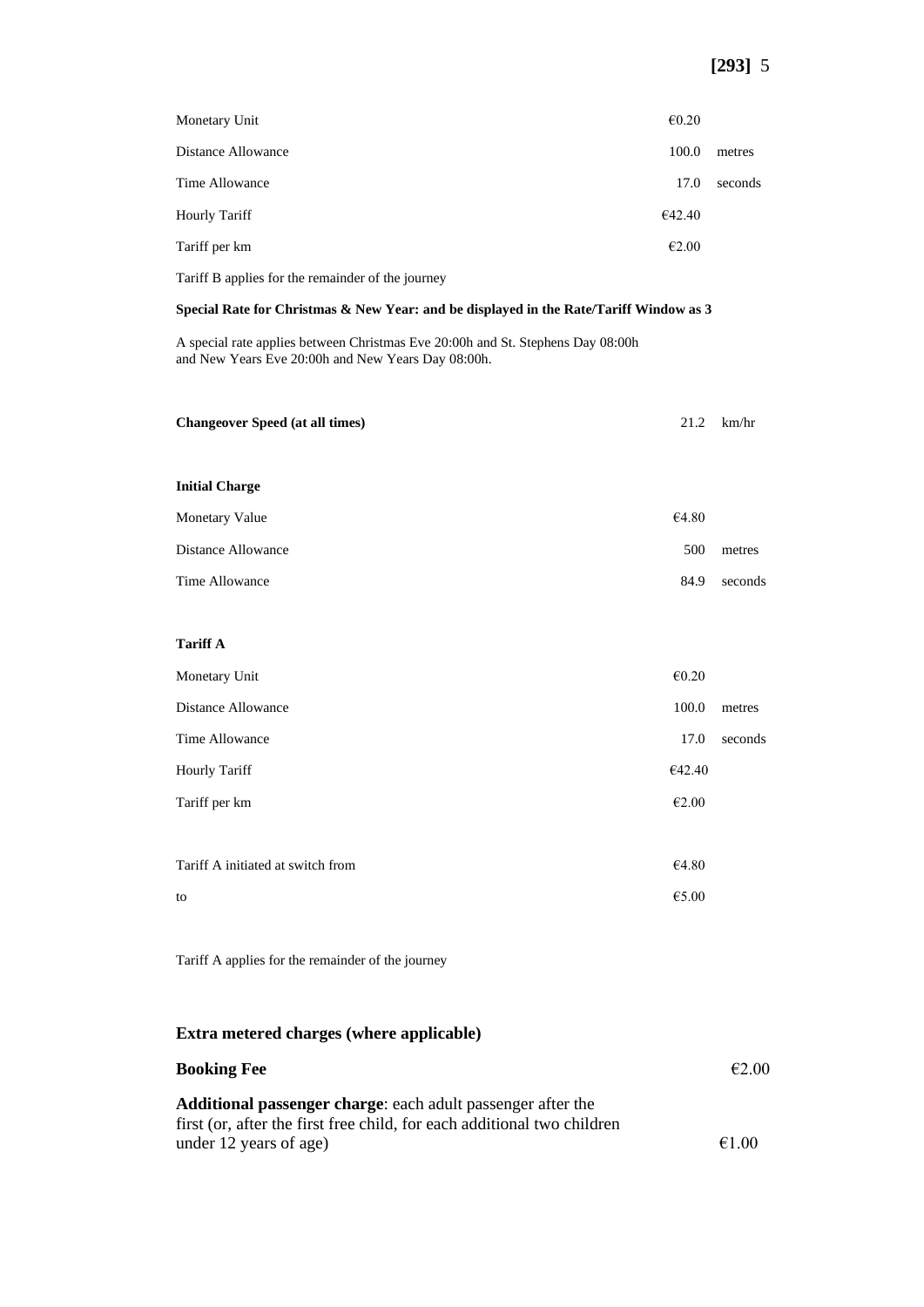| Monetary Unit        | $\epsilon$ 0.20 |         |
|----------------------|-----------------|---------|
| Distance Allowance   | 100.0           | metres  |
| Time Allowance       | 17.0            | seconds |
| <b>Hourly Tariff</b> | €42.40          |         |
| Tariff per km        | €2.00           |         |
|                      |                 |         |

Tariff B applies for the remainder of the journey

#### **Special Rate for Christmas & New Year: and be displayed in the Rate/Tariff Window as 3**

A special rate applies between Christmas Eve 20:00h and St. Stephens Day 08:00h and New Years Eve 20:00h and New Years Day 08:00h.

| <b>Changeover Speed (at all times)</b>            | 21.2                   | km/hr   |
|---------------------------------------------------|------------------------|---------|
|                                                   |                        |         |
| <b>Initial Charge</b>                             |                        |         |
| Monetary Value                                    | €4.80                  |         |
| Distance Allowance                                | 500                    | metres  |
| Time Allowance                                    | 84.9                   | seconds |
|                                                   |                        |         |
| <b>Tariff A</b>                                   |                        |         |
| Monetary Unit                                     | $\mathnormal{\in}0.20$ |         |
| Distance Allowance                                | 100.0                  | metres  |
| Time Allowance                                    | 17.0                   | seconds |
| Hourly Tariff                                     | €42.40                 |         |
| Tariff per km                                     | $\mathnormal{\in}2.00$ |         |
|                                                   |                        |         |
| Tariff A initiated at switch from                 | €4.80                  |         |
| to                                                | $\mathfrak{E}5.00$     |         |
|                                                   |                        |         |
| Tariff A applies for the remainder of the journey |                        |         |

#### **Extra metered charges (where applicable)**

| <b>Booking Fee</b>                                                      | E2.00 |
|-------------------------------------------------------------------------|-------|
| <b>Additional passenger charge:</b> each adult passenger after the      |       |
| first (or, after the first free child, for each additional two children |       |
| under 12 years of age)                                                  | €1.00 |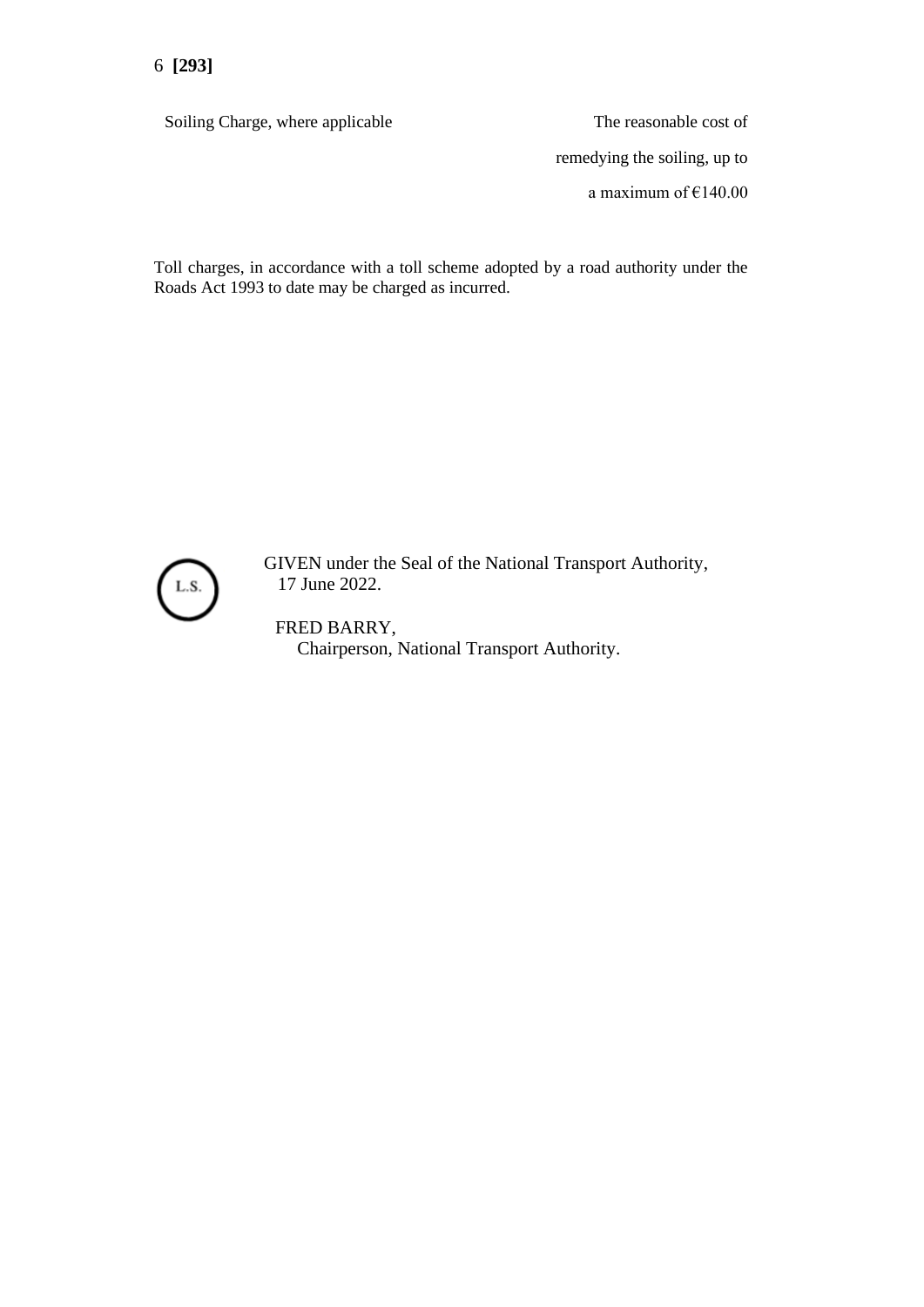Soiling Charge, where applicable The reasonable cost of

remedying the soiling, up to a maximum of €140.00

Toll charges, in accordance with a toll scheme adopted by a road authority under the Roads Act 1993 to date may be charged as incurred.



GIVEN under the Seal of the National Transport Authority, 17 June 2022.

FRED BARRY, Chairperson, National Transport Authority.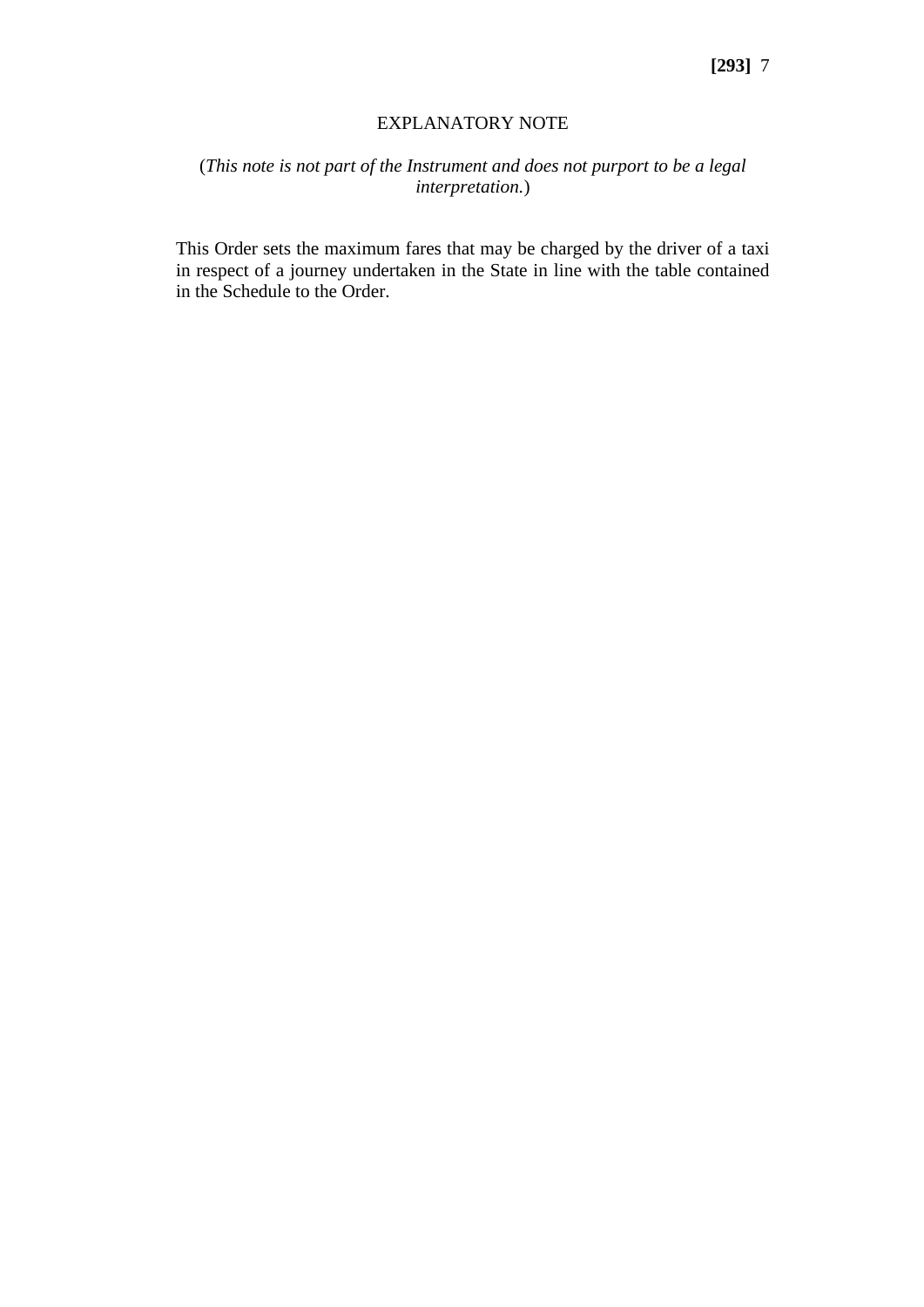#### EXPLANATORY NOTE

## (*This note is not part of the Instrument and does not purport to be a legal interpretation.*)

This Order sets the maximum fares that may be charged by the driver of a taxi in respect of a journey undertaken in the State in line with the table contained in the Schedule to the Order.